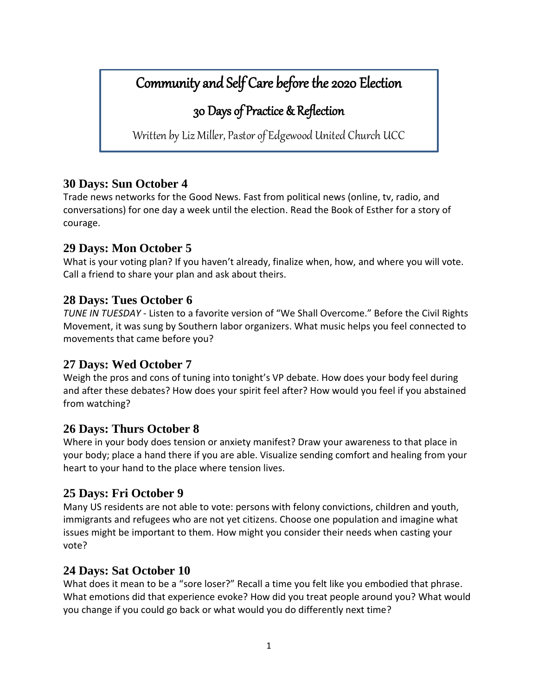# Community and Self Care before the 2020 Election

# 30 Days of Practice & Reflection

Written by Liz Miller, Pastor of Edgewood United Church UCC

# **30 Days: Sun October 4**

Trade news networks for the Good News. Fast from political news (online, tv, radio, and conversations) for one day a week until the election. Read the Book of Esther for a story of courage.

# **29 Days: Mon October 5**

What is your voting plan? If you haven't already, finalize when, how, and where you will vote. Call a friend to share your plan and ask about theirs.

# **28 Days: Tues October 6**

*TUNE IN TUESDAY* - Listen to a favorite version of "We Shall Overcome." Before the Civil Rights Movement, it was sung by Southern labor organizers. What music helps you feel connected to movements that came before you?

# **27 Days: Wed October 7**

Weigh the pros and cons of tuning into tonight's VP debate. How does your body feel during and after these debates? How does your spirit feel after? How would you feel if you abstained from watching?

# **26 Days: Thurs October 8**

Where in your body does tension or anxiety manifest? Draw your awareness to that place in your body; place a hand there if you are able. Visualize sending comfort and healing from your heart to your hand to the place where tension lives.

# **25 Days: Fri October 9**

Many US residents are not able to vote: persons with felony convictions, children and youth, immigrants and refugees who are not yet citizens. Choose one population and imagine what issues might be important to them. How might you consider their needs when casting your vote?

# **24 Days: Sat October 10**

What does it mean to be a "sore loser?" Recall a time you felt like you embodied that phrase. What emotions did that experience evoke? How did you treat people around you? What would you change if you could go back or what would you do differently next time?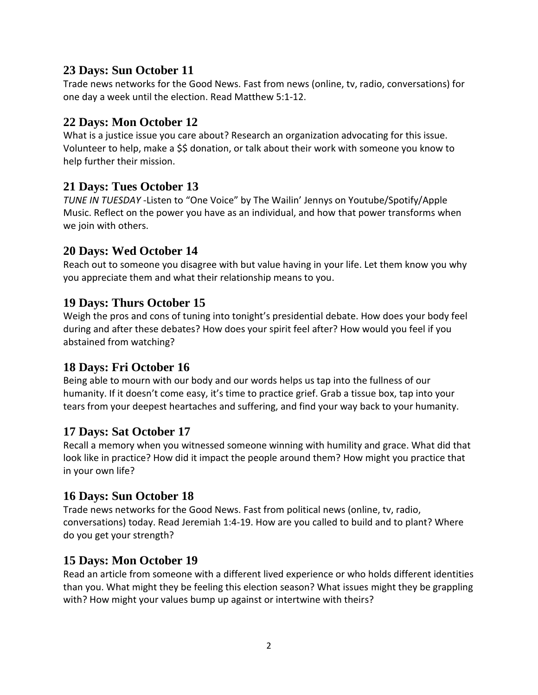## **23 Days: Sun October 11**

Trade news networks for the Good News. Fast from news (online, tv, radio, conversations) for one day a week until the election. Read Matthew 5:1-12.

# **22 Days: Mon October 12**

What is a justice issue you care about? Research an organization advocating for this issue. Volunteer to help, make a \$\$ donation, or talk about their work with someone you know to help further their mission.

## **21 Days: Tues October 13**

*TUNE IN TUESDAY* -Listen to "One Voice" by The Wailin' Jennys on Youtube/Spotify/Apple Music. Reflect on the power you have as an individual, and how that power transforms when we join with others.

## **20 Days: Wed October 14**

Reach out to someone you disagree with but value having in your life. Let them know you why you appreciate them and what their relationship means to you.

## **19 Days: Thurs October 15**

Weigh the pros and cons of tuning into tonight's presidential debate. How does your body feel during and after these debates? How does your spirit feel after? How would you feel if you abstained from watching?

#### **18 Days: Fri October 16**

Being able to mourn with our body and our words helps us tap into the fullness of our humanity. If it doesn't come easy, it's time to practice grief. Grab a tissue box, tap into your tears from your deepest heartaches and suffering, and find your way back to your humanity.

#### **17 Days: Sat October 17**

Recall a memory when you witnessed someone winning with humility and grace. What did that look like in practice? How did it impact the people around them? How might you practice that in your own life?

# **16 Days: Sun October 18**

Trade news networks for the Good News. Fast from political news (online, tv, radio, conversations) today. Read Jeremiah 1:4-19. How are you called to build and to plant? Where do you get your strength?

#### **15 Days: Mon October 19**

Read an article from someone with a different lived experience or who holds different identities than you. What might they be feeling this election season? What issues might they be grappling with? How might your values bump up against or intertwine with theirs?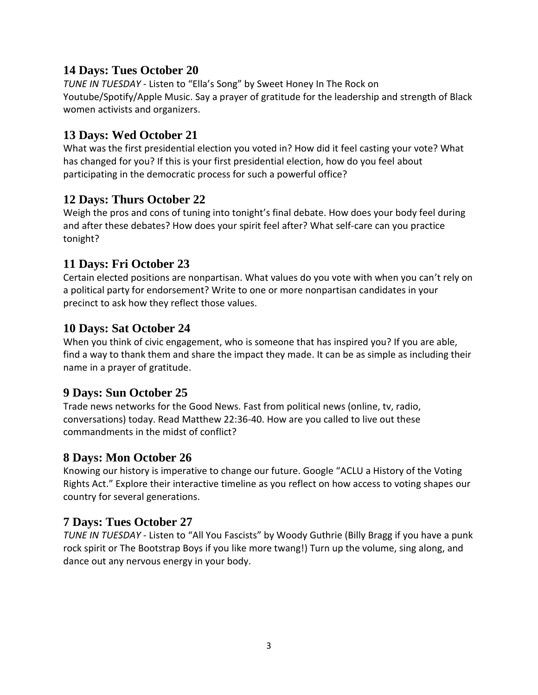## **14 Days: Tues October 20**

*TUNE IN TUESDAY* - Listen to "Ella's Song" by Sweet Honey In The Rock on Youtube/Spotify/Apple Music. Say a prayer of gratitude for the leadership and strength of Black women activists and organizers.

# **13 Days: Wed October 21**

What was the first presidential election you voted in? How did it feel casting your vote? What has changed for you? If this is your first presidential election, how do you feel about participating in the democratic process for such a powerful office?

## **12 Days: Thurs October 22**

Weigh the pros and cons of tuning into tonight's final debate. How does your body feel during and after these debates? How does your spirit feel after? What self-care can you practice tonight?

## **11 Days: Fri October 23**

Certain elected positions are nonpartisan. What values do you vote with when you can't rely on a political party for endorsement? Write to one or more nonpartisan candidates in your precinct to ask how they reflect those values.

## **10 Days: Sat October 24**

When you think of civic engagement, who is someone that has inspired you? If you are able, find a way to thank them and share the impact they made. It can be as simple as including their name in a prayer of gratitude.

# **9 Days: Sun October 25**

Trade news networks for the Good News. Fast from political news (online, tv, radio, conversations) today. Read Matthew 22:36-40. How are you called to live out these commandments in the midst of conflict?

#### **8 Days: Mon October 26**

Knowing our history is imperative to change our future. Google "ACLU a History of the Voting Rights Act." Explore their interactive timeline as you reflect on how access to voting shapes our country for several generations.

#### **7 Days: Tues October 27**

*TUNE IN TUESDAY* - Listen to "All You Fascists" by Woody Guthrie (Billy Bragg if you have a punk rock spirit or The Bootstrap Boys if you like more twang!) Turn up the volume, sing along, and dance out any nervous energy in your body.